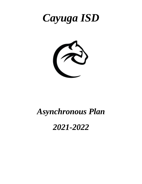



# *Asynchronous Plan*

# *2021-2022*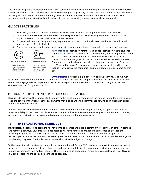The goal of this plan is to provide ongoing TEKS-based instruction while maintaining instructional delivery that furthers student academic success, as well as to advance learning by progressing through the state standards. We realize that learning will be modified in a remote and digital environment. Cayuga ISD will provide access, resources, and academic learning opportunities for all students in the remote setting through an asynchronous model.

# GUIDING PRINCIPLES

- 1. Supporting students' academic and emotional wellness while maintaining home and school balance.
- 2. All students and families will have access to quality educational materials aligned to the TEKS and to the supports needed to successfully access those materials.
- 3. Empower educators to design learning experiences in order to continually assessand meet the individual learning needs of each student.
- 4. Educators, students, and parents need support, encouragement, and compassion to ensure their success.



**Asynchronous** instruction refers to self-paced instruction where students engage in the learning materials on their own time, interacting intermittently with the teacher via the computer or other electronic devices or over the phone. For students engaged in the day, they would be marked as present. Engagement is defined as progress in the Learning Management System (LMS) made that day; Progress from teacher to student interaction made that day; evaluating the completion and understanding of assignments that day.

**Synchronous** instruction is similar to on-campus learning. It is two-way, Real-time, live instruction between students and teachers through the computer or other electronic devices or over the phone. Cayuga ISD will implement the model of Asynchronous Instruction. The LMS in Cayuga ISD will be Google Classroom for grades K – 12.

# METHODS OF IMPLEMENTATION FOR CONSIDERATION

Cayuga ISD will assist the campus staff to teach both virtual and on-campus. As the number of students may change over the course of the year, teacher assignments may also change to accommodate serving each student in either remote or online instruction.

In order to maintain the movement of students between remote and on-campus learning it is paramount that we maintain fidelity in the classroom. As students potentially flow from remote to on-campus or on-campus to remote, our goal is to maintain a consistency in learning so students will maintain growth.

# **I. INSTRUCTIONAL SCHEDULE**

**Description:** Students and teachers will have time to interact and build a community of learners in both on-campus and remote pathways. Students in remote settings will have schedules provided that matches or exceeds the following daily minimum across all grade levels. While we understand this schedule is dependent upon the percentages of remote learners and the evolving confirmed cases in our county, the proposed schedules are a guide for planning purposes. The implementation model provided is subject to change.

In the event that circumstances change in our community, all Cayuga ISD teachers can pivot to remote learning if needed. From the beginning of the school year, all teachers will design lessons in our LMS for on-campus learners, remote learners, and intermittent learners. There is likely to be student movement across models, and we at Cayuga ISD are prepared to make this as seamless as possible.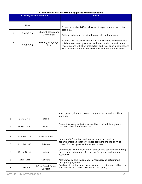## **KINDERGARTEN - GRADE 5 Suggested Online Schedule**

| Kindergarten - Grade 5 |                                 | <b>Notes</b>                                                                                                                                                                                                                                                      |  |  |  |
|------------------------|---------------------------------|-------------------------------------------------------------------------------------------------------------------------------------------------------------------------------------------------------------------------------------------------------------------|--|--|--|
| Time                   |                                 | Students receive 240+ minutes of asynchronous instruction                                                                                                                                                                                                         |  |  |  |
| $8:00 - 8:30$          | Student-Classroom<br>Connection | each day.<br>Daily schedules are provided to parents and students.                                                                                                                                                                                                |  |  |  |
| $8:30-9:30$            | Reading Language<br>Arts        | Students will attend recorded and live sessions for community<br>building, counselor guidance, and intervention or enrichment.<br>These lessons will allow interaction and relationship connections<br>with teachers. Campus counselors will set up one on-one or |  |  |  |

| 3 | $9:30-9:45$     | <b>Break</b>                  | small group guidance classes to support social and emotional<br>learning.                                                                     |  |
|---|-----------------|-------------------------------|-----------------------------------------------------------------------------------------------------------------------------------------------|--|
| 4 | $9:45-10:45$    | Math                          | Content for core subject areas will be provided through our<br>campus instructional resources.                                                |  |
| 5 | $10:45 - 11:15$ | Social Studies                | In grades 3-5, content and instruction is provided by                                                                                         |  |
| 6 | 11:15-11:45     | Science                       | departmentalized teachers. These teachers are the point of<br>contact for their prospective subject areas.                                    |  |
| 7 | 11:45-12:15     | Lunch                         | Office hours will be available for one-on-one conferences during<br>the day and before and after school for parent and student<br>assistance. |  |
| 8 | $12:15 - 1:15$  | <b>Specials</b>               | Attendance will be taken daily in Ascender, as determined<br>through engagement.                                                              |  |
| 9 | $1:15-1:45$     | 1:1 or Small Group<br>Support | Grading will be the same as on-campus learning and outlined in<br>our CAYUGA ISD District Handbook and policy.                                |  |

Cayuga ISD Asynchronous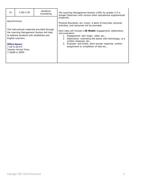| 10           | $2:00 - 2:30$                                                                                                                                       | Guidance<br>Counseling                                                                   | The Learning Management System (LMS) for grades 3-5 is<br>Google Classroom with various other educational supplemental                                                                                                                                                                                                  |  |  |  |  |
|--------------|-----------------------------------------------------------------------------------------------------------------------------------------------------|------------------------------------------------------------------------------------------|-------------------------------------------------------------------------------------------------------------------------------------------------------------------------------------------------------------------------------------------------------------------------------------------------------------------------|--|--|--|--|
| Asynchronous |                                                                                                                                                     |                                                                                          | programs.<br>Physical Education, art, music- a bank of exercises, physical<br>activities, and resources will be provided.                                                                                                                                                                                               |  |  |  |  |
|              | to address students with disabilities and<br>English Learners.<br><b>Office Hours:</b><br>$7:20-4:30$ M-F<br>Teacher Arrival Time:<br>7:20AM-4:30PM | The instructional materials provided through<br>the Learning Management System will help | Each class will include a 3E Model: engagement, elaboration,<br>and evaluation.<br>1. Engagement- bell ringer, video, etc<br>Elaboration- extending the lesson with technology, or a<br>2.<br>written response, etc<br>3. Evaluate- exit ticket, short answer response, written<br>assignment or completion of task etc |  |  |  |  |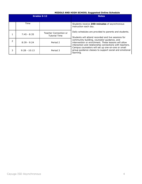# **MIDDLE AND HIGH SCHOOL Suggested Online Schedule**

|   |                | Grades 6-12                                   | <b>Notes</b>                                                                                                                                                   |
|---|----------------|-----------------------------------------------|----------------------------------------------------------------------------------------------------------------------------------------------------------------|
|   | Time           |                                               | Students receive 240+minutes of asynchronous<br>instruction each day.                                                                                          |
|   | $7:45 - 8:35$  | Teacher Connection or<br><b>Tutorial Time</b> | Daily schedules are provided to parents and students.<br>Students will attend recorded and live sessions for                                                   |
| 2 | $8:39 - 9:24$  | Period 2                                      | community building, counselor guidance, and<br>intervention or enrichment. These lessons will allow<br>interaction and relationship connections with teachers. |
| 3 | $9:28 - 10:13$ | Period 3                                      | Campus counselors will set up one-on-one or small<br>group guidance classes to support social and emotional<br>learning.                                       |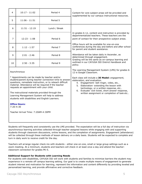| 4             | $10:17 - 11:02$                                                                                                                                                                                                                                     | Period 4                                                                                                                                                                     | Content for core subject areas will be provided and<br>supplemented by our campus instructional resources.                                                                                                                                                                                                                 |  |  |
|---------------|-----------------------------------------------------------------------------------------------------------------------------------------------------------------------------------------------------------------------------------------------------|------------------------------------------------------------------------------------------------------------------------------------------------------------------------------|----------------------------------------------------------------------------------------------------------------------------------------------------------------------------------------------------------------------------------------------------------------------------------------------------------------------------|--|--|
| 5             | $11:06 - 11:51$                                                                                                                                                                                                                                     | Period 5                                                                                                                                                                     |                                                                                                                                                                                                                                                                                                                            |  |  |
| 6             | $11:51 - 12:19$                                                                                                                                                                                                                                     | Lunch / Break                                                                                                                                                                |                                                                                                                                                                                                                                                                                                                            |  |  |
| 7             | $12:23 - 1:08$                                                                                                                                                                                                                                      | Period 6                                                                                                                                                                     | In grades 6-12, content and instruction is provided by<br>departmentalized teachers. These teachers are the<br>point of contact for their prospective subject areas.                                                                                                                                                       |  |  |
| 8             | $1:12 - 1:57$                                                                                                                                                                                                                                       | Period 7                                                                                                                                                                     | Office hours will be available for one-on-one<br>conferences during the day and before and after school<br>for parent and student assistance.                                                                                                                                                                              |  |  |
| 9             | $2:01 - 2:46$                                                                                                                                                                                                                                       | Period 8                                                                                                                                                                     | Attendance will be taken daily in Ascender, as<br>determined through engagement.<br>Grading will be the same as on-campus learning and<br>outlined in our CAYUGA ISD District Handbook and<br>policy.<br>The Learning Management System (LMS) for grades 6-<br>12 is Google Classroom.                                     |  |  |
| 10            | $2:50 - 3:35$                                                                                                                                                                                                                                       | Period 9                                                                                                                                                                     |                                                                                                                                                                                                                                                                                                                            |  |  |
|               | Asynchronous                                                                                                                                                                                                                                        |                                                                                                                                                                              |                                                                                                                                                                                                                                                                                                                            |  |  |
|               | * Appointments can be made by teacher and/or<br>requests an appointment with your child.<br>The instructional materials provided through the<br>Learning Management System will help to address<br>students with disabilities and English Learners. | student/parent during teacher connection time to answer<br>questions, remediate instruction, or to reteach difficult<br>material. Attendance will be required if the teacher | Each class will include a 3E Model: engagement,<br>elaboration, and evaluation.<br>Engagement- bell ringer, video, etc<br>4.<br>Elaboration- extending the lesson with<br>5.<br>technology, or a written response, etc<br>6. Evaluate- exit ticket, short answer response,<br>written assignment or completion of task etc |  |  |
| $7:20 - 4:30$ | <b>Office Hours:</b>                                                                                                                                                                                                                                |                                                                                                                                                                              |                                                                                                                                                                                                                                                                                                                            |  |  |
|               | Teacher Arrival Time: 7:20AM-4:30PM                                                                                                                                                                                                                 |                                                                                                                                                                              |                                                                                                                                                                                                                                                                                                                            |  |  |

Students will frequently and consistently use the LMS provided. The expectation will be a full day of instruction via asynchronous learning activities collected through teacher assigned lessons while engaging with and supporting students through classroom discussions, online lessons, and the completion of assignments. Engagement (attendance) will be collected through these methods of lesson delivery on a daily basis. Students will be expected to complete and turn in daily work to receive credit for the day.

Teachers will arrange regular check-ins with students - either one-on-one, small or large group settings such as a zoom meeting. At a minimum, students and teachers will check-in at least once a day and attend the teacherclassroom connection for grades PK-5.

#### **Additional Support for Students with Learning Needs**

For students with disabilities, CAYUGA ISD will work with students and families to minimize barriers the student may experience in a remote off campus learning setting. Our goal is to create multiple means of engagement to generate student interest and motivation for learning, represent the information and content differently by providing leveled and personalized learning, and provide affirmative and corrective feedback.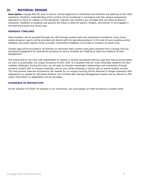# **II. MATERIAL DESIGN**

**Description:** Cayuga ISD will work to ensure vertical alignment is maintained and teachers are adhering to the TEKS standards. Student's understanding of the content will be monitored in accordance with the campus assessment calendars to check for mastery of the standards. Teachers will reinforce any concepts that are below proficiency standards. Feedback to students and parents will follow to allow for parent, student, and teacher to be engaged in the learning process this school year.

#### **FEEDBACK TIMELINES**

Daily feedback will be provided through the LMS through student work and assignment completion. Every three weeks progress reports will be provided and shared with the parents/guardians. At the end of every grading period, feedback and grade reports will be provided. Intermittent feedback is provided to students as needs arise.

Contact logs will be provided to all teachers to document daily contact using data collected from a Google Form to document engagement for attendance purposes to ensure students are meeting at least one measure of daily engagement.

The school district will work with stakeholders to identify a remote educational delivery approach that accommodates, as much as practicable, the unique situations of each child. It is possible that our most vulnerable students will face multiple challenges. During this time, we will seek to maintain meaningful relationships and connections through personal contact with on-campus meetings, one on one virtual meetings or phone calls to ensure student success. The instructional materials provided by the teacher for on-campus learning will be attached in Google classroom with adaptations as needed for individual students, the CAYUGA ISD Learning Management System will be offered by TEA (more information on adaptability will be provided).

#### **COHERENCE IN INSTRUCTION**

As the situation of COVID-19 changes in our community, we could adjust our staff according to student need.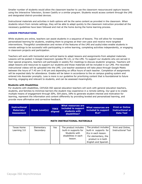Smaller number of students would allow the classroom teacher to use the classroom resourcesand capture lessons using the Interactive Television, Screen Castify or a similar program. Students would access content through the LMS and designated district-provided devices.

Instructional materials and activities in both options will be the same content as provided in the classroom. When students return from remote settings, they will be able to adapt quickly to the classroom instruction provided all the necessary guidelines have been followed and met at the home during the home learning process.

## **LESSON PREPARATIONS**

While students are online, teachers can assist students in a sequence of lessons. This will allow for increased personalized learning for students, enabling them to progress at their own pace and receive more targeted interventions. Thoughtful consideration and review of the features of the LMS and audio/video enable students in remote settings to be successful with participating in online learning, completing activities independently, or engaging in classroom projects and participation.

Teachers will work with horizontal and vertical teams to adapt lessons and assignments from adopted materials. Lessons will be posted in Google Classroom (grades PK-12), or the LMS. To support our students who are served in their special programs, teachers will participate in weekly PLC meetings to discuss students' progress. Teachers will adapt lessons and resources to support our students and those materials will be included in our LMS. Pre-recorded instructional videos will be uploaded into the LMS. Live teacher assistance will take place through Google Meets between the hours of 7:45 am-3:40 pm and depending on office hours of each teacher. Completion of assignments will be expected daily for attendance. Grades will be taken in accordance to the on campus grading system and entered into Ascender promptly. Less is more is our guideline for prioritizing content that is foundational to future learning, engaging and relevant to students, and can be assessed meaningfully.

## **Students with Disabilities**

For students with disabilities, CAYUGA ISD special education teachers will work with general education teachers, students, and families to minimize barriers the student may experience in a remote setting. Our goal is to create multiple means of engagement through IEPs, 504 plans, IAPs to generate student interest and motivation for learning, represent the information and content differently by providing leveled and personalized learning, and provide more affirmative and corrective feedback.

| <b>Instructional</b><br><b>Materials/</b><br><b>Assessment</b> | <b>Grade Level(s)</b>   | <b>TEKS</b><br>aligned | <b>What resources are</b><br>included to support<br>students with<br>disabilities?                | What resources are<br>included to support<br>ELs?                                                                                         | <b>Print or Online</b><br><b>Instructional or</b><br><b>Data Tool</b> |  |  |
|----------------------------------------------------------------|-------------------------|------------------------|---------------------------------------------------------------------------------------------------|-------------------------------------------------------------------------------------------------------------------------------------------|-----------------------------------------------------------------------|--|--|
| <b>MATH INSTRUCTIONAL MATERIALS</b>                            |                         |                        |                                                                                                   |                                                                                                                                           |                                                                       |  |  |
| Texas Home<br>Learning 3.0                                     | Elementary<br>Secondary | <b>Yes</b>             | The product includes<br>built-in supports for<br>Students with<br>disabilities in each<br>lesson. | The product includes<br>built-in supports for<br>ELs in each lesson.<br>For elementary, the<br>product is in both<br>English and Spanish. | Print and Online,<br><b>Instructional Tool</b>                        |  |  |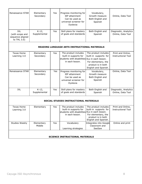| Renaissance STAR I                                        | Elementary<br>Secondary | Yes | Progress monitoring for<br>IEP attainment<br>Can be used as<br>universal screener for<br><b>Dyslexia</b> | Vocabulary,<br>Growth measure<br>Both English and<br>Spanish | Online, Data Tool                          |
|-----------------------------------------------------------|-------------------------|-----|----------------------------------------------------------------------------------------------------------|--------------------------------------------------------------|--------------------------------------------|
| IXL<br>(with scope and<br>sequence aligned<br>to THL 3.0) | K-12,<br>Supplemental   | Yes | Skill plans for mastery<br>of goals and standards                                                        | Both English and<br>Spanish                                  | Diagnostic, Analytics<br>Online, Data Tool |

## **READING LANGUAGE ARTS INSTRUCTIONAL MATERIALS**

| Texas Home<br>Learning 3.0 | Elementary<br>Secondary | Yes. | The product includes<br>built-in supports for<br>students with disabilities ELs in each lesson.<br>in each lesson. | The product includes<br>built-in supports for<br>For elementary, the<br>product is in both<br>English and Spanish. | Print and Online,<br><b>Instructional Tool</b> |
|----------------------------|-------------------------|------|--------------------------------------------------------------------------------------------------------------------|--------------------------------------------------------------------------------------------------------------------|------------------------------------------------|
| Renaissance STAR           | Elementary<br>Secondary | Yes  | Progress monitoring for<br>IEP attainment<br>Can be used as<br>universal screener for<br>Dyslexia                  | Vocabulary,<br>Growth measure<br>Both English and<br>Spanish                                                       | Online, Data Tool                              |
| IXL                        | K-12,<br>Supplemental   | Yes. | Skill plans for mastery<br>of goals and standards                                                                  | Both English and<br>Spanish                                                                                        | Diagnostic, Analytics<br>Online, Data Tool     |
|                            |                         |      |                                                                                                                    |                                                                                                                    |                                                |

## **SOCIAL STUDIES INSTRUCTIONAL MATERIALS**

| Texas Home                             | Elementary | <b>Yes</b> | The product includes                           | The product includes   | Print and Online,         |  |  |
|----------------------------------------|------------|------------|------------------------------------------------|------------------------|---------------------------|--|--|
| Learning 3.0                           |            |            | built-in supports for                          | built-in supports for  | <b>Instructional Tool</b> |  |  |
|                                        |            |            | students with disabilities ELs in each lesson. |                        |                           |  |  |
|                                        |            |            | in each lesson.                                | For elementary, the    |                           |  |  |
|                                        |            |            |                                                | product is in both     |                           |  |  |
|                                        |            |            |                                                | English and Spanish.   |                           |  |  |
| Studies Weekly                         | Elementary | Yes.       | Vocabulary                                     | Integrates into Google | Online and print          |  |  |
|                                        | Middle     |            |                                                | Classroom and          |                           |  |  |
|                                        |            |            | Learning strategies                            | SeeSaw                 |                           |  |  |
|                                        |            |            |                                                |                        |                           |  |  |
|                                        |            |            |                                                |                        |                           |  |  |
| <b>SCIENCE INSTRUCTIONAL MATERIALS</b> |            |            |                                                |                        |                           |  |  |

# Cayuga ISD Asynchronous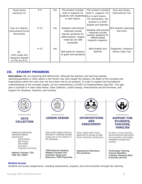| Texas Home                                                    | K-5      | <b>Yes</b> | The product includes                                                                                                               | The product includes                                                                                         | Print and Online,                          |
|---------------------------------------------------------------|----------|------------|------------------------------------------------------------------------------------------------------------------------------------|--------------------------------------------------------------------------------------------------------------|--------------------------------------------|
| Learning 3.0                                                  |          |            | built-in supports for                                                                                                              | built-in supports for                                                                                        | <b>Instructional Tool</b>                  |
|                                                               |          |            | students with disabilities ELs in each lesson.                                                                                     |                                                                                                              |                                            |
|                                                               |          |            | in each lesson.                                                                                                                    | For elementary, the                                                                                          |                                            |
|                                                               |          |            |                                                                                                                                    | product is in both                                                                                           |                                            |
|                                                               |          |            |                                                                                                                                    | English and Spanish.                                                                                         |                                            |
| Year at a Glance,<br><b>Instructional Focus</b><br>Documents  | $6 - 12$ | Yes        | Adopted instructional<br>materials include<br>teacher guidance for<br>differentiation. Digital<br>materials are 508<br>accessible. | Adopted instructional<br>materials include<br>teacher guidance for<br>differentiated<br>linguistic supports. | N/A (teacher planning)<br>tool only)       |
| IXL<br>(with scope and<br>sequence aligned<br>to THL for K-5) | $K-12$   | <b>Yes</b> | Skill plans for mastery<br>of goals and standards                                                                                  | Both English and<br>Spanish                                                                                  | Diagnostic, Analytics<br>Online, Data Tool |

# **III. STUDENT PROGRESS**

**Description:** We are expecting skill deficiencies. Although the teachers and learning coaches (parents/guardians or other adults in the home) may have taught the lessons, the depth of the concepts and expectations within the units may not have been met by all students. In order to support the foundational understandings of the concepts taught, we are implementing a COVID-19 Implementation Gap Plan. This gap plan is outlined in 4 main areas below: Data Collection, Lesson Design, Interventions and Enrichments, and Support for Students, Teachers, and Families.



#### **Student Access**

Students will access assignments, including assessments, projects, and communication through the Learning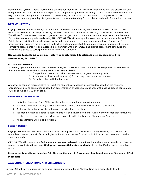Management System, Google Classroom is the LMS for grades PK-12. For synchronous teaching, the district will use Google Meets or Zoom. Students are expected to complete assignments on a daily basis to receive attendance for the day. In addition, assignments are to be completed daily. Students will not be allowed to complete all of their assignments on one given day. Assignments are to be submitted daily for completion and credit for enrolled courses.

#### **DATA COLLECTION**

Cayuga ISD teachers will leverage or adapt and administer standards-aligned, leveled pre-assessments to collect data to be used as a starting point. Using the assessment data, personalized learning pathways will be developed. We will use formative assessments to gauge student progress and to adapt curriculum to support student learning. For content areas and grade levels using THL, CAYUGA ISD will leverage the assessments that are included with THL. Quick checks (exit tickets, short quizzes) will also be implemented to track progress and level of mastery of understanding. Progress monitoring will be tracked and communicated through our Learning Management System. Formative assessments will be developed in conjunction with our campus and district assessment schedules and appropriately paced to correspond with our scope and sequence.

## **Resources: Texas Home Learning, Mastery Connect, Texas Education Agency assessments, LMS assessments, IXL, DMAC**

#### **ACTIVE ENGAGEMENT**

Active engagement means a student is active in his/her coursework. The student is marked present in each course they are enrolled when the following items have been achieved.

- 1. Completion of lessons- activities, assessments, projects on a daily basis
- 2. Attending synchronous (live lessons) for tutoring, intervention, enrichment
- 3. Or daily contact with the teacher.

A teacher or campus representative will input the student's attendance into Ascender, based on the student's engagement. Course completion is based on demonstration of academic proficiency with passing grades equivalent of 70% or above on a 100 point scale.

#### **ASSESSMENT FRAMEWORK**

- 1. Individual Education Plans (IEPs) will be adhered to in all testing environments.
- 2. Teachers and school testing coordinators will be trained on how to deliver online assessments.
- 3. Test security protocols will be put in place in school and remotely.
- 4. Teacher instructional authentic assessments will be delivered online through a variety of modalities including teacher-created questions or performance tasks placed in the Learning Management System.
- 5. All assessments will guide instruction.

#### **LESSON DESIGN**

Cayuga ISD believes that there is no one-size-fits-all approach that will work for every student, class, subject, or grade level. Instead, we will focus on high-quality lessons that are focused on individual student needs and on the state standards.

CAYUGA ISD will create a modified **scope and sequence-based** on the intentional alignment of standards missed as a result of lost instructional time. **High priority/essential state standards** will be identified for each core subject area.

**Resources: Texas Home Learning 3.0, Mastery Connect, PLC common planning, Scope and Sequence, TEKS Placemats**

## **ACADEMIC INTERVENTIONS AND ENRICHMENTS**

Cayuga ISD will serve students in daily small group instruction during Mastery Time to provide students with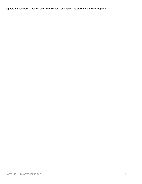support and feedback. Data will determine the level of support and placement in the groupings.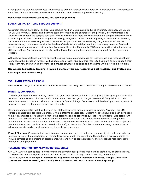Study plans and student conferences will be used to provide a personalized approach to each student. These practices have been in place for multiple years and proven effective in accelerating student learning.

#### **Resources: Assessment Calendars, PLC common planning**

#### **EDUCATOR, PARENT, AND STUDENT SUPPORT**

Classroom teachers, students, and learning coaches need on-going supports during this time. Campuses will create an On-Site or Virtual Professional Learning team by combining the expertise of the principal, interventionists, and counselors to support the campus staff and families of remote learners and the students on-campus. Parent/Learning Coach support will be provided training on technology integration in the home using Google Classroom. In addition, social and emotional well-being will be provided by campus counselors to students, staff, and families. We will maintain strong communication with the families of students in special populations, continuing to gather feedback and to support students and their families. Professional Learning Community (PLC) practices will provide teachers in different settings (on-campus and remote) with a forum for sharing best practices and support for their peers and students.

Although we know distance learning during the spring was a major challenge for teachers, we also recognize that in many cases the disruption for families has been even greater. Our goal this year is to help parents best support their child, learn how and when to intervene, and provide structure and balance in the home while providing instruction.

## **Resources: Technology Training, Trauma-Sensitive Training, Researched Best Practices, and Professional Learning Communities (PLC)**

# **IV. IMPLEMENTATION**

**Description:** The goal of this work is to ensure seamless learning that consists with thoughtful lessons and activities

#### **PARENTS/GUARDIANS**

At the beginning of the school year, parents and guardians will be invited to a small group meeting to participate in a hands-on demonstration of *What is a Chromebook and How do I get to Google Classroom?* Our goal is to conduct more training each month and share on our district's Facebook Page. Each session will be developed in a sequence of topics determined by high-interest and parent needs.

Constant communication will flow between our staff and parents through Google classroom, Ascender, our LMS, personal contact from teachers via email, virtual platforms or voice calls. Custom websites have also been developed to help disseminate information to assist in the coordination and continued success for all students. It is paramount that CAYUGA ISD students and families understand the expectations and importance of remote learning during asynchronous instruction. Communication will be provided to clarify the focus on coherence between on-campus and asynchronous instruction. It is our expectation for staff, students, and families to maintain strong partnerships to allow students to easily transition between these delivery methods.

**Parent Meeting:** When a student goes from on-campus learning to remote, the campus will attempt to schedule a meeting to review the expectations of remote learning with both the parent and the student. Discussion points will include completing and grading of assignments, who and how to contact support, and attendance requirements for promotion and graduation.

#### **TEACHERS/INSTRUCTIONAL PARAPROFESSIONALS**

CAYUGA ISD staff participated in synchronous and asynchronous professional learning technology-related sessions. These sessions were designed to meet their needs and create a stronger remote learning environment. Topics designed were: **Google Classroom for Beginners, Google Classroom Advanced, Google University, Trauma and Mental Health, and Gamify Your Classroom and Instructional Video Capturing.**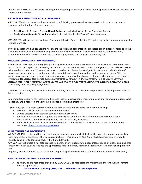In addition, CAYUGA ISD teachers will engage in ongoing professional learning that is specific to their content area and instructional materials.

## **PRINCIPALS AND OTHER ADMINISTRATORS**

CAYUGA ISD administrators will participate in the following professional learning sessions in order to develop a stronger understanding of remote learning:

- **Excellence in Remote Instructional Delivery** conducted by the Texas Education Agency
- **Designing a Remote School Modules 1-3** conducted by the Texas Education Agency

CAYUGA ISD will work closely with our Educational Service Center - Region VII and other partners to plan support for remote learning.

Principals, teachers, and counselors will ensure the following accountability processes are in place: Adherence to the schedule, Attendance is monitored, Implementation of the curriculum, Grades submitted in a timely manner, Communication with families- attendance, family engagement, and progress monitoring data

#### **ONGOING COMMUNICATION/LEARNING**

Professional Learning Community (PLC) planning time is conducted every week for staff to connect with their peers and to build staff capacity in delivering on-campus and remote instruction. This school year CAYUGA ISD will partner with nearby schools in a PLC cohort to focus on teacher and leader knowledge to increase our understanding of mastering the standards, collecting and using data, taking instructional action, and engaging students. With the ability to restructure our staff and their schedules, we can utilize the strengths of our teachers to serve as *trainersof-trainers* for various focus areas such as *Integrating Technology in the Classroom, How to Create Common Assessments, Video Recordings, Choice Boards, HyperDocs, Collaborative Learning via discussion boards in Google Classroom, and Uploading Assignments.*

Texas Home Learning will provide continuous learning for staff to continue to be proficient in the implementation of home learning.

Job embedded supports for teachers will include teacher observations, mentoring, coaching, examining student work, modeling, and a focus on analyzing high-impact instructional strategies,

**Tools:** Cayuga ISD's main communication tools for parents and students will be the following:

- a. Ascender Call Out for district-wide communication
- b. Google Classroom for teacher-parent-student discussions
- c. For real-time instructional support and delivery of content we will all communicate through Google Meets/Google G Suite (including Gmail, Docs, Classroom, Hangouts)
- d. Public website: CAYUGA ISD will maintain general information on its status for the public on our main webpageat [https://www.cayugaisd.com.](https://www.cayugaisd.com/)

#### **CURRICULUM GAP DOCUMENTS**

All CAYUGA ISD teachers will be provided instructional documents which include the highest leverage standards in each subject by grade level. Other resources include: *TEKS Resource Gap Tool,* which teachers can leverage to identify gaps prior to teaching each THL 3.0 module/unit.

CAYUGA ISD will create a fail-safe process to identify every student who needs interventions or extensions, and then ensure that each student receives the appropriate help in a timely manner. Students who are experiencing difficulty are

required, rather than invited, to utilize our campus support services. Each student's data is looked at individually.

## **RESOURCES TO MAXIMIZE REMOTE LEARNING**

A. The following are resources provided by CAYUGA ISD to help teachers implement a more thoughtful remote learning opportunity.

**Texas Home Learning (THL) 3.0 Lead4ward school@home**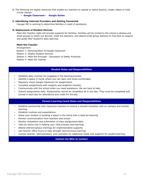- B. The following are digital resources that enable our teachers to upload or select lessons, create videos or hold virtual classes.
	- **Google Classroom Google Suites**

#### **C. Identifying Internet Providers and Getting Connected**

Cayuga ISD is working to determine families in need of assistance.

#### **D. Deployment of Student Devices**

Meet-the-Teacher night will provide supports for families. Families will be invited to the school in phases and small groups to check out devices, meet the teachers, and attend small group stations on how best to support and guide their student's daily learning.

#### **Meet-the-Teacher**

Arrangement: Station 1: Demonstration of Google Classroom Station 2: Deploy Student Devices Station 3: Meet the Principal - Discussion of Safety Protocols Station 4: Meet the Teacher

#### **Student Roles and Responsibilities**

- Establish daily routines for engaging in the learning process.
- Identify a space in home where you can learn and study comfortably.
- Regularly check Google Classroom for assignments.
- Complete assignments with integrity and academic honesty.
- Communicate with the school when you need assistance. We are here to help.
- Submit assignments daily. Assignments cannot be completed all in one day. They must be completed and turned in each day for attendance and credit for the day.

#### **Parent/Learning Coach Roles and Responsibilities**

- Establish partnership with classroom teachers to ensure a smooth transition with on-campus and remote learning.
- Establish routines and expectations.
- Assist your student in locating a space in the home that is ideal for learning.
- Monitor communication from teachers and school.
- Monitor completion and submission of class assignments daily.
- Take an active role in helping your child process their learning.
- Attend district/campus trainings for implementation supports.
- Use teacher office hours to help strength asynchronous learning.
- Contact teacher, administrators, and counselor for additional needs and supports for studentlearning.

## **Contact Us/Who to Contact**